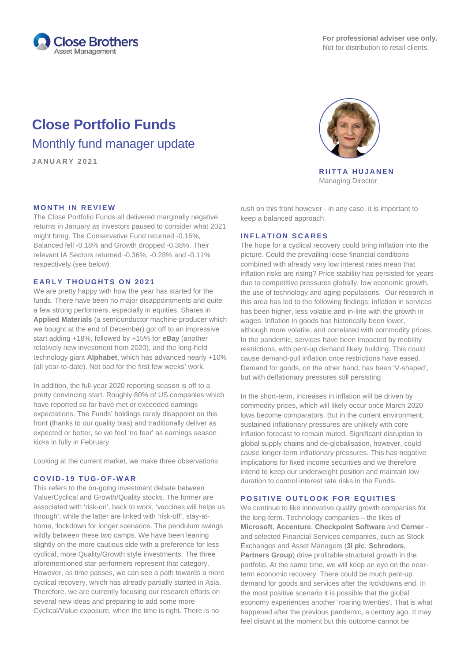

# **Close Portfolio Funds** Monthly fund manager update

**JANUARY 202 1**

### **MONTH IN REVIEW**

The Close Portfolio Funds all delivered marginally negative returns in January as investors paused to consider what 2021 might bring. The Conservative Fund returned -0.16%, Balanced fell -0.18% and Growth dropped -0.38%. Their relevant IA Sectors returned -0.36%, -0.28% and -0.11% respectively (see below).

### **EARLY THOUGHTS ON 2021**

We are pretty happy with how the year has started for the funds. There have been no major disappointments and quite a few strong performers, especially in equities. Shares in **Applied Materials** (a semiconductor machine producer which we bought at the end of December) got off to an impressive start adding +18%, followed by +15% for **eBay** (another relatively new investment from 2020), and the long-held technology giant **Alphabet**, which has advanced nearly +10% (all year-to-date). Not bad for the first few weeks' work.

In addition, the full-year 2020 reporting season is off to a pretty convincing start. Roughly 80% of US companies which have reported so far have met or exceeded earnings expectations. The Funds' holdings rarely disappoint on this front (thanks to our quality bias) and traditionally deliver as expected or better, so we feel 'no fear' as earnings season kicks in fully in February.

Looking at the current market, we make three observations:

### **COVID - 19 TUG - O F - WAR**

This refers to the on-going investment debate between Value/Cyclical and Growth/Quality stocks. The former are associated with 'risk-on', back to work, 'vaccines will helps us through'; while the latter are linked with 'risk-off', stay-athome, 'lockdown for longer scenarios. The pendulum swings wildly between these two camps. We have been leaning slightly on the more cautious side with a preference for less cyclical, more Quality/Growth style investments. The three aforementioned star performers represent that category. However, as time passes, we can see a path towards a more cyclical recovery, which has already partially started in Asia. Therefore, we are currently focusing our research efforts on several new ideas and preparing to add some more Cyclical/Value exposure, when the time is right. There is no



**RIITTA HUJANEN** Managing Director

rush on this front however - in any case, it is important to keep a balanced approach.

### **INFLATION SCARES**

The hope for a cyclical recovery could bring inflation into the picture. Could the prevailing loose financial conditions combined with already very low interest rates mean that inflation risks are rising? Price stability has persisted for years due to competitive pressures globally, low economic growth, the use of technology and aging populations. Our research in this area has led to the following findings: inflation in services has been higher, less volatile and in-line with the growth in wages. Inflation in goods has historically been lower, although more volatile, and correlated with commodity prices. In the pandemic, services have been impacted by mobility restrictions, with pent-up demand likely building. This could cause demand-pull inflation once restrictions have eased. Demand for goods, on the other hand, has been 'V-shaped', but with deflationary pressures still persisting.

In the short-term, increases in inflation will be driven by commodity prices, which will likely occur once March 2020 lows become comparators. But in the current environment, sustained inflationary pressures are unlikely with core inflation forecast to remain muted. Significant disruption to global supply chains and de-globalisation, however, could cause longer-term inflationary pressures. This has negative implications for fixed income securities and we therefore intend to keep our underweight position and maintain low duration to control interest rate risks in the Funds.

## **POSITIVE OUTLOOK FOR EQUITIES**

We continue to like innovative quality growth companies for the long-term. Technology companies – the likes of **Microsoft**, **Accenture**, **Checkpoint Software** and **Cerner** and selected Financial Services companies, such as Stock Exchanges and Asset Managers (**3i plc**, **Schroders**, **Partners Group**) drive profitable structural growth in the portfolio. At the same time, we will keep an eye on the nearterm economic recovery. There could be much pent-up demand for goods and services after the lockdowns end. In the most positive scenario it is possible that the global economy experiences another 'roaring twenties'. That is what happened after the previous pandemic, a century ago. It may feel distant at the moment but this outcome cannot be